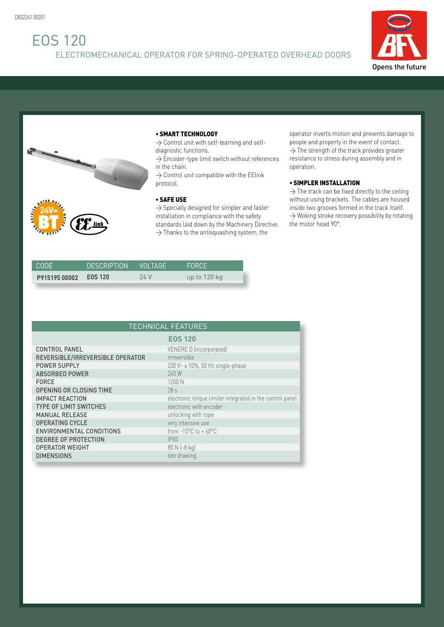## EOS 120 ELECTROMECHANICAL OPERATOR FOR SPRING-OPERATED OVERHEAD DOORS





## • SMART TECHNOLOGY

 $\rightarrow$  Control unit with self-learning and selfdiagnostic functions.

 $\rightarrow$  Encoder-type limit switch without references in the chain.

 $\rightarrow$  Control unit compatible with the EElink protocol.

## • SAFE USE

 $\rightarrow$  Specially designed for simpler and faster installation in compliance with the safety standards laid down by the Machinery Directive.  $\rightarrow$  Thanks to the antisquashing system, the

operator inverts motion and prevents damage to people and property in the event of contact.  $\rightarrow$  The strength of the track provides greater resistance to stress during assembly and in operation.

## • SIMPLER INSTALLATION

 $\rightarrow$  The track can be fixed directly to the ceiling without using brackets. The cables are housed inside two grooves formed in the track itself.  $\rightarrow$  Woking stroke recovery possibility by rotating the motor head 90°.

| CODE.         | <b>DESCRIPTION</b> | I VOI TAGF' | <b>FORCE</b> |
|---------------|--------------------|-------------|--------------|
| P915195 00002 | EOS 120            | 24 V        | up to 120 kg |

| <b>TECHNICAL FEATURES</b>        |                                                           |  |  |
|----------------------------------|-----------------------------------------------------------|--|--|
|                                  | <b>EOS 120</b>                                            |  |  |
| <b>CONTROL PANEL</b>             | VENERE D (incorporated)                                   |  |  |
| REVERSIBLE/IRREVERSIBLE OPERATOR | irreversible                                              |  |  |
| <b>POWER SUPPLY</b>              | 230 V~ ± 10%, 50 Hz single-phase                          |  |  |
| <b>ABSORBED POWER</b>            | 240 W                                                     |  |  |
| <b>FORCE</b>                     | 1200 N                                                    |  |  |
| <b>OPENING OR CLOSING TIME</b>   | 28 <sub>s</sub>                                           |  |  |
| <b>IMPACT REACTION</b>           | electronic torque limiter integrated in the control panel |  |  |
| <b>TYPE OF LIMIT SWITCHES</b>    | electronic with encoder                                   |  |  |
| <b>MANUAL RELEASE</b>            | unlocking with rope                                       |  |  |
| <b>OPERATING CYCLE</b>           | very intensive use                                        |  |  |
| ENVIRONMENTAL CONDITIONS         | from $-15^{\circ}$ C to $+60^{\circ}$ C                   |  |  |
| <b>DEGREE OF PROTECTION</b>      | IPX <sub>0</sub>                                          |  |  |
| <b>OPERATOR WEIGHT</b>           | 80 N (~8 kg)                                              |  |  |
| <b>DIMENSIONS</b>                | see drawing                                               |  |  |